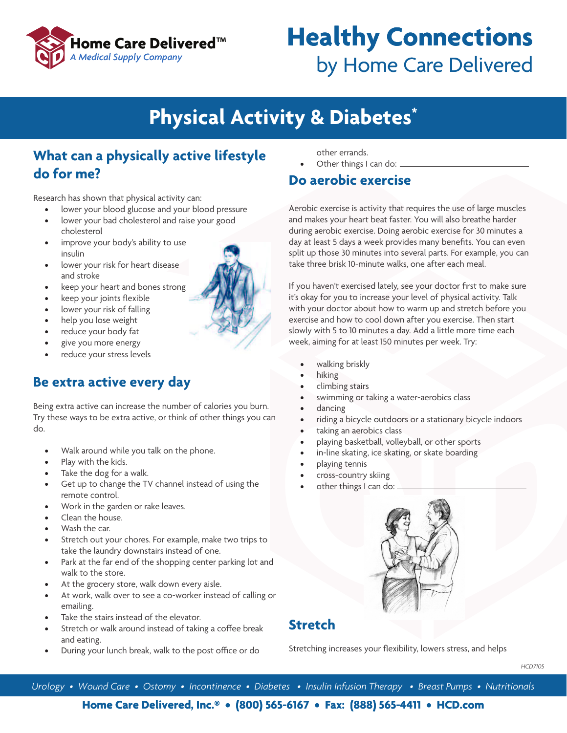

# **Healthy Connections** by Home Care Delivered

# **Physical Activity & Diabetes\***

### **What can a physically active lifestyle do for me?**

Research has shown that physical activity can:

- lower your blood glucose and your blood pressure
- lower your bad cholesterol and raise your good cholesterol
- improve your body's ability to use insulin
- • lower your risk for heart disease and stroke
- keep your heart and bones strong
- keep your joints flexible
- lower your risk of falling
- help you lose weight
- reduce your body fat
- give you more energy
- reduce your stress levels

### **Be extra active every day**

Being extra active can increase the number of calories you burn. Try these ways to be extra active, or think of other things you can do.

- Walk around while you talk on the phone.
- Play with the kids.
- Take the dog for a walk.
- • Get up to change the TV channel instead of using the remote control.
- Work in the garden or rake leaves.
- Clean the house.
- Wash the car.
- Stretch out your chores. For example, make two trips to take the laundry downstairs instead of one.
- Park at the far end of the shopping center parking lot and walk to the store.
- At the grocery store, walk down every aisle.
- At work, walk over to see a co-worker instead of calling or emailing.
- Take the stairs instead of the elevator.
- Stretch or walk around instead of taking a coffee break and eating.
- During your lunch break, walk to the post office or do
- other errands.
- Other things I can do:  $\equiv$

#### **Do aerobic exercise**

Aerobic exercise is activity that requires the use of large muscles and makes your heart beat faster. You will also breathe harder during aerobic exercise. Doing aerobic exercise for 30 minutes a day at least 5 days a week provides many benefits. You can even split up those 30 minutes into several parts. For example, you can take three brisk 10-minute walks, one after each meal.

If you haven't exercised lately, see your doctor first to make sure it's okay for you to increase your level of physical activity. Talk with your doctor about how to warm up and stretch before you exercise and how to cool down after you exercise. Then start slowly with 5 to 10 minutes a day. Add a little more time each week, aiming for at least 150 minutes per week. Try:

- walking briskly
- hiking
- climbing stairs
- swimming or taking a water-aerobics class
- dancing
- riding a bicycle outdoors or a stationary bicycle indoors
- taking an aerobics class
- playing basketball, volleyball, or other sports
- in-line skating, ice skating, or skate boarding
- playing tennis
- cross-country skiing
- other things I can do:



# **Stretch**

Stretching increases your flexibility, lowers stress, and helps

*Urology • Wound Care • Ostomy • Incontinence • Diabetes • Insulin Infusion Therapy • Breast Pumps • Nutritionals*

**Home Care Delivered, Inc.® • (800) 565-6167 • Fax: (888) 565-4411 • HCD.com**